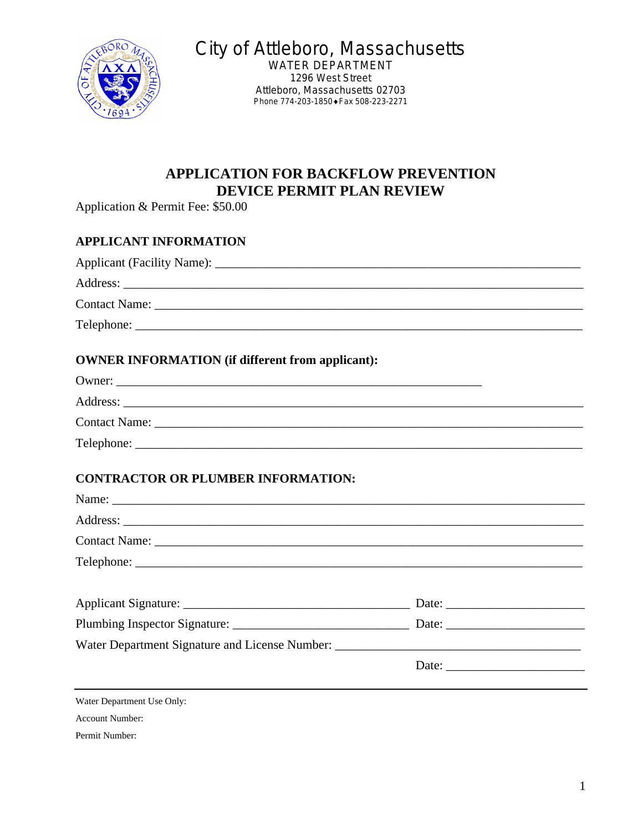

WATER DEPARTMENT 1296 West Street Attleboro, Massachusetts 02703 Phone 774-203-1850 ♦ Fax 508-223-2271

### **APPLICATION FOR BACKFLOW PREVENTION DEVICE PERMIT PLAN REVIEW**

Application & Permit Fee: \$50.00

### **APPLICANT INFORMATION**

| Contact Name: |  |
|---------------|--|
|               |  |

### **OWNER INFORMATION (if different from applicant):**

| Owner:               |  |
|----------------------|--|
| Address:             |  |
| <b>Contact Name:</b> |  |
| Telephone:           |  |

### **CONTRACTOR OR PLUMBER INFORMATION:**

| Water Department Signature and License Number: __________________________________ |  |
|-----------------------------------------------------------------------------------|--|
|                                                                                   |  |
|                                                                                   |  |
| Water Department Use Only:                                                        |  |

Account Number:

Permit Number: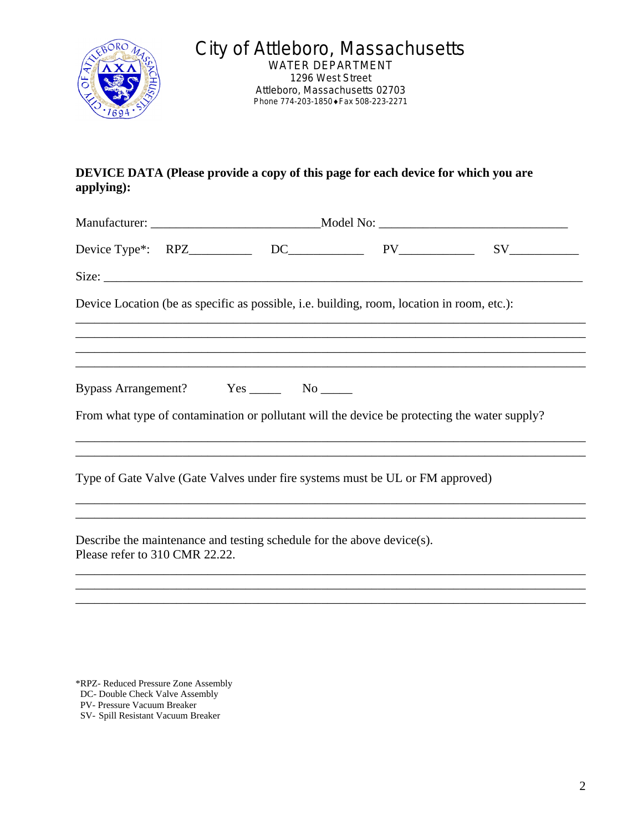

1296 West Street Attleboro, Massachusetts 02703 Phone 774-203-1850 • Fax 508-223-2271

### **DEVICE DATA (Please provide a copy of this page for each device for which you are applying):**

|                                |                                            | Device Location (be as specific as possible, i.e. building, room, location in room, etc.): |                                                                                              |
|--------------------------------|--------------------------------------------|--------------------------------------------------------------------------------------------|----------------------------------------------------------------------------------------------|
|                                |                                            |                                                                                            |                                                                                              |
|                                |                                            |                                                                                            |                                                                                              |
|                                | Bypass Arrangement? Yes ________ No ______ |                                                                                            |                                                                                              |
|                                |                                            |                                                                                            | From what type of contamination or pollutant will the device be protecting the water supply? |
|                                |                                            |                                                                                            |                                                                                              |
|                                |                                            | Type of Gate Valve (Gate Valves under fire systems must be UL or FM approved)              |                                                                                              |
|                                |                                            |                                                                                            |                                                                                              |
| Please refer to 310 CMR 22.22. |                                            | Describe the maintenance and testing schedule for the above device(s).                     |                                                                                              |
|                                |                                            |                                                                                            |                                                                                              |

\_\_\_\_\_\_\_\_\_\_\_\_\_\_\_\_\_\_\_\_\_\_\_\_\_\_\_\_\_\_\_\_\_\_\_\_\_\_\_\_\_\_\_\_\_\_\_\_\_\_\_\_\_\_\_\_\_\_\_\_\_\_\_\_\_\_\_\_\_\_\_\_\_\_\_\_\_\_\_\_\_

- \*RPZ- Reduced Pressure Zone Assembly DC- Double Check Valve Assembly PV- Pressure Vacuum Breaker
- SV- Spill Resistant Vacuum Breaker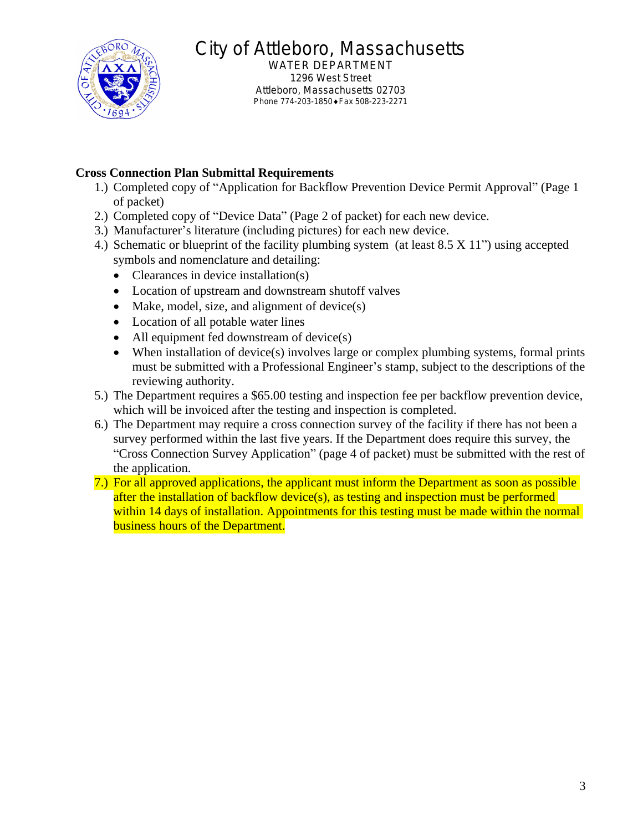

WATER DEPARTMENT 1296 West Street Attleboro, Massachusetts 02703 Phone 774-203-1850 ♦ Fax 508-223-2271

### **Cross Connection Plan Submittal Requirements**

- 1.) Completed copy of "Application for Backflow Prevention Device Permit Approval" (Page 1 of packet)
- 2.) Completed copy of "Device Data" (Page 2 of packet) for each new device.
- 3.) Manufacturer's literature (including pictures) for each new device.
- 4.) Schematic or blueprint of the facility plumbing system (at least 8.5 X 11") using accepted symbols and nomenclature and detailing:
	- Clearances in device installation(s)
	- Location of upstream and downstream shutoff valves
	- $\bullet$  Make, model, size, and alignment of device(s)
	- Location of all potable water lines
	- All equipment fed downstream of device(s)
	- When installation of device(s) involves large or complex plumbing systems, formal prints must be submitted with a Professional Engineer's stamp, subject to the descriptions of the reviewing authority.
- 5.) The Department requires a \$65.00 testing and inspection fee per backflow prevention device, which will be invoiced after the testing and inspection is completed.
- 6.) The Department may require a cross connection survey of the facility if there has not been a survey performed within the last five years. If the Department does require this survey, the "Cross Connection Survey Application" (page 4 of packet) must be submitted with the rest of the application.
- 7.) For all approved applications, the applicant must inform the Department as soon as possible after the installation of backflow device(s), as testing and inspection must be performed within 14 days of installation. Appointments for this testing must be made within the normal business hours of the Department.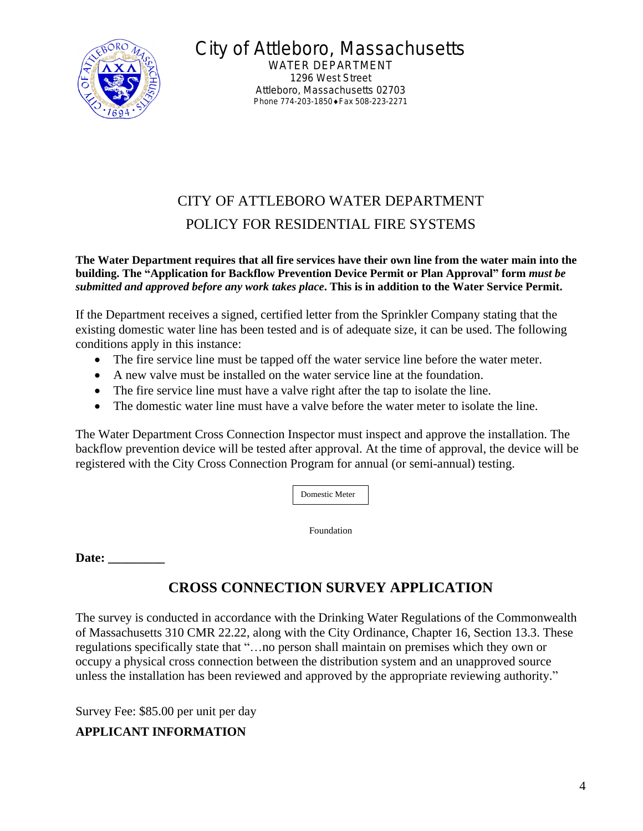

WATER DEPARTMENT 1296 West Street Attleboro, Massachusetts 02703 Phone 774-203-1850 ♦ Fax 508-223-2271

# CITY OF ATTLEBORO WATER DEPARTMENT POLICY FOR RESIDENTIAL FIRE SYSTEMS

**The Water Department requires that all fire services have their own line from the water main into the building. The "Application for Backflow Prevention Device Permit or Plan Approval" form** *must be submitted and approved before any work takes place***. This is in addition to the Water Service Permit.**

If the Department receives a signed, certified letter from the Sprinkler Company stating that the existing domestic water line has been tested and is of adequate size, it can be used. The following conditions apply in this instance:

- The fire service line must be tapped off the water service line before the water meter.
- A new valve must be installed on the water service line at the foundation.
- The fire service line must have a valve right after the tap to isolate the line.
- The domestic water line must have a valve before the water meter to isolate the line.

The Water Department Cross Connection Inspector must inspect and approve the installation. The backflow prevention device will be tested after approval. At the time of approval, the device will be registered with the City Cross Connection Program for annual (or semi-annual) testing.

Domestic Meter

Foundation

**Date: \_\_\_\_\_\_\_\_\_**

### **CROSS CONNECTION SURVEY APPLICATION**

The survey is conducted in accordance with the Drinking Water Regulations of the Commonwealth of Massachusetts 310 CMR 22.22, along with the City Ordinance, Chapter 16, Section 13.3. These regulations specifically state that "…no person shall maintain on premises which they own or occupy a physical cross connection between the distribution system and an unapproved source unless the installation has been reviewed and approved by the appropriate reviewing authority."

Survey Fee: \$85.00 per unit per day

### **APPLICANT INFORMATION**